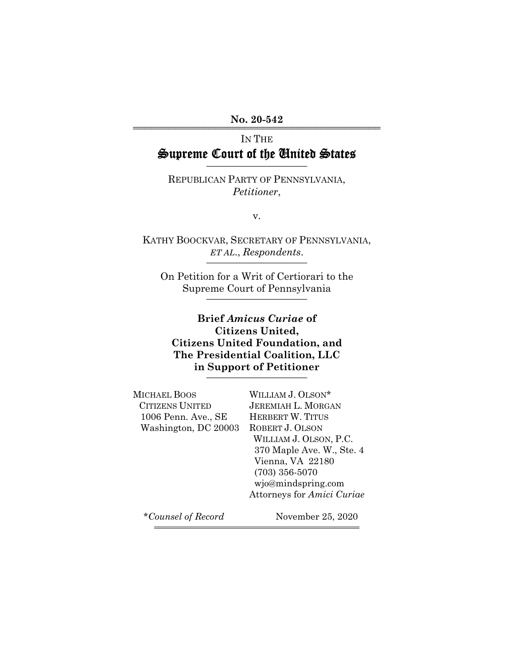## No. 20-542

# IN THE Supreme Court of the United States

REPUBLICAN PARTY OF PENNSYLVANIA, *Petitioner*,

v.

KATHY BOOCKVAR, SECRETARY OF PENNSYLVANIA, *ET AL*., *Respondents*. \_\_\_\_\_\_\_\_\_\_\_\_\_\_\_\_\_\_\_\_

On Petition for a Writ of Certiorari to the Supreme Court of Pennsylvania

## **Brief** *Amicus Curiae* **of Citizens United, Citizens United Foundation, and The Presidential Coalition, LLC in Support of Petitioner** \_\_\_\_\_\_\_\_\_\_\_\_\_\_\_\_\_\_\_\_

| <b>MICHAEL BOOS</b>    | WILLIAM J. OLSON*          |
|------------------------|----------------------------|
| <b>CITIZENS UNITED</b> | <b>JEREMIAH L. MORGAN</b>  |
| 1006 Penn. Ave., SE    | <b>HERBERT W. TITUS</b>    |
| Washington, DC 20003   | ROBERT J. OLSON            |
|                        | WILLIAM J. OLSON, P.C.     |
|                        | 370 Maple Ave. W., Ste. 4  |
|                        | Vienna, VA 22180           |
|                        | $(703)$ 356-5070           |
|                        | wjo@mindspring.com         |
|                        | Attorneys for Amici Curiae |
|                        |                            |

444444444444444444444444444444444444444444

\**Counsel of Record* November 25, 2020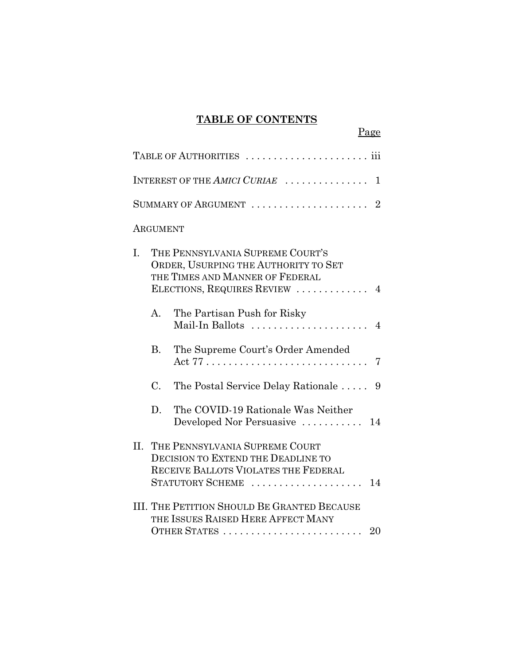## **TABLE OF CONTENTS**

Page

| INTEREST OF THE AMICI CURIAE<br>1                                 |                                                                                                                                              |                                                                                                                                               |  |  |
|-------------------------------------------------------------------|----------------------------------------------------------------------------------------------------------------------------------------------|-----------------------------------------------------------------------------------------------------------------------------------------------|--|--|
| SUMMARY OF ARGUMENT $\ldots \ldots \ldots \ldots \ldots \ldots 2$ |                                                                                                                                              |                                                                                                                                               |  |  |
|                                                                   | ARGUMENT                                                                                                                                     |                                                                                                                                               |  |  |
| L.                                                                | THE PENNSYLVANIA SUPREME COURT'S<br>ORDER, USURPING THE AUTHORITY TO SET<br>THE TIMES AND MANNER OF FEDERAL<br>ELECTIONS, REQUIRES REVIEW  4 |                                                                                                                                               |  |  |
|                                                                   | A <sub>1</sub>                                                                                                                               | The Partisan Push for Risky<br>Mail-In Ballots<br>$\overline{4}$                                                                              |  |  |
|                                                                   | <b>B.</b>                                                                                                                                    | The Supreme Court's Order Amended<br>7                                                                                                        |  |  |
|                                                                   | C.                                                                                                                                           | The Postal Service Delay Rationale<br>9                                                                                                       |  |  |
|                                                                   | D.                                                                                                                                           | The COVID-19 Rationale Was Neither<br>Developed Nor Persuasive  14                                                                            |  |  |
| H.                                                                |                                                                                                                                              | THE PENNSYLVANIA SUPREME COURT<br><b>DECISION TO EXTEND THE DEADLINE TO</b><br>RECEIVE BALLOTS VIOLATES THE FEDERAL<br>STATUTORY SCHEME<br>14 |  |  |
|                                                                   |                                                                                                                                              | <b>III. THE PETITION SHOULD BE GRANTED BECAUSE</b><br>THE ISSUES RAISED HERE AFFECT MANY<br>OTHER STATES<br>20                                |  |  |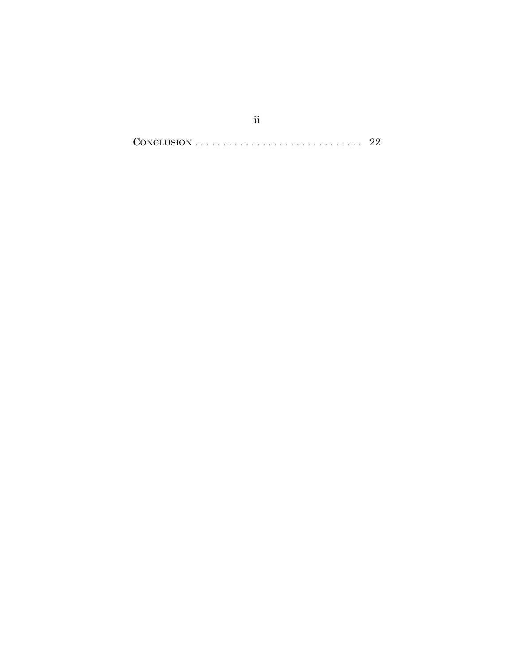$CONCLUSION \ldots \ldots \ldots \ldots \ldots \ldots \ldots \ldots \ldots \ldots \quad 22$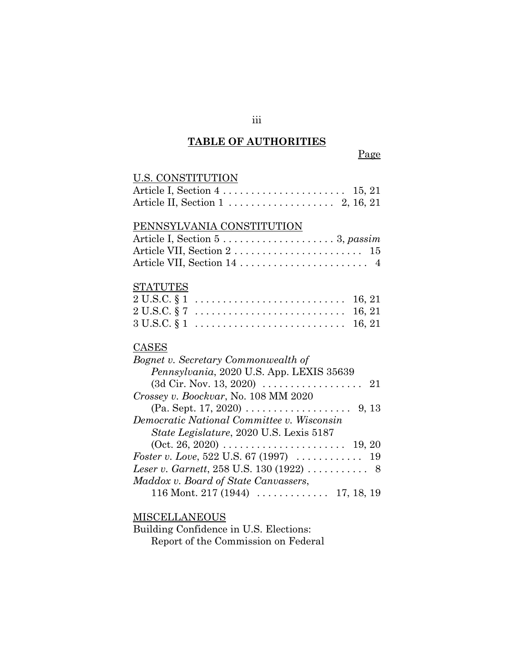#### **TABLE OF AUTHORITIES**

Page

# U.S. CONSTITUTION Article I, Section 4 . . . . . . . . . . . . . . . . . . . . . . 15, 21 Article II, Section 1 . . . . . . . . . . . . . . . . . . . 2, 16, 21 PENNSYLVANIA CONSTITUTION Article I, Section 5 . . . . . . . . . . . . . . . . . . . . 3, *passim* Article VII, Section 2 . . . . . . . . . . . . . . . . . . . . . . . 15 Article VII, Section 14 ................................ 4 STATUTES 2 U.S.C. § 1 . . . . . . . . . . . . . . . . . . . . . . . . . . . 16, 21 2 U.S.C. § 7 . . . . . . . . . . . . . . . . . . . . . . . . . . . 16, 21  $3 \text{ U.S.C.} \S 1 \dots \dots \dots \dots \dots \dots \dots \dots \dots \quad 16, 21$ CASES *Bognet v. Secretary Commonwealth of Pennsylvania*, 2020 U.S. App. LEXIS 35639 (3d Cir. Nov. 13, 2020) . . . . . . . . . . . . . . . . . . 21 *Crossey v. Boockvar*, No. 108 MM 2020 (Pa. Sept. 17, 2020) . . . . . . . . . . . . . . . . . . . 9, 13 *Democratic National Committee v. Wisconsin State Legislature*, 2020 U.S. Lexis 5187 (Oct. 26, 2020) . . . . . . . . . . . . . . . . . . . . . . 19, 20 *Foster v. Love*, 522 U.S. 67 (1997) . . . . . . . . . . . . 19 *Leser v. Garnett*, 258 U.S. 130 (1922) ........... 8 *Maddox v. Board of State Canvassers*, 116 Mont. 217 (1944) . . . . . . . . . . . . . 17, 18, 19

### MISCELLANEOUS

Building Confidence in U.S. Elections: Report of the Commission on Federal

iii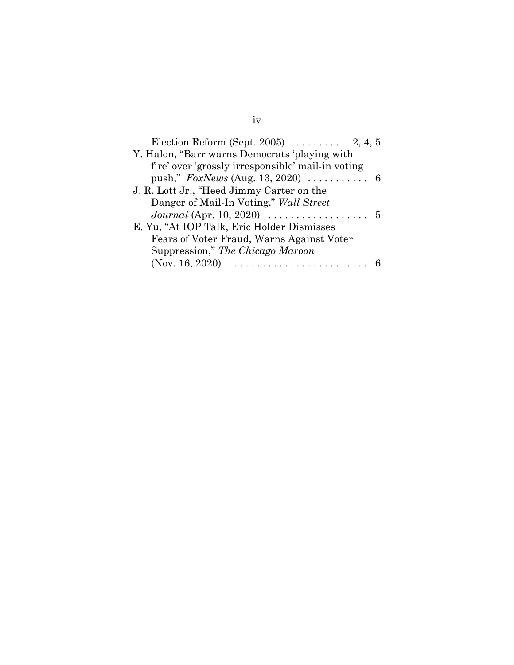| Election Reform (Sept. 2005) $\ldots$ 2, 4, 5                             |  |  |
|---------------------------------------------------------------------------|--|--|
| Y. Halon, "Barr warns Democrats 'playing with                             |  |  |
| fire' over 'grossly irresponsible' mail-in voting                         |  |  |
|                                                                           |  |  |
| J. R. Lott Jr., "Heed Jimmy Carter on the                                 |  |  |
| Danger of Mail-In Voting," Wall Street                                    |  |  |
| <i>Journal</i> (Apr. 10, 2020) $\ldots \ldots \ldots \ldots \ldots 5$     |  |  |
| E. Yu, "At IOP Talk, Eric Holder Dismisses                                |  |  |
| Fears of Voter Fraud, Warns Against Voter                                 |  |  |
| Suppression," The Chicago Maroon                                          |  |  |
| (Nov. 16, 2020) $\ldots \ldots \ldots \ldots \ldots \ldots \ldots \ldots$ |  |  |

# iv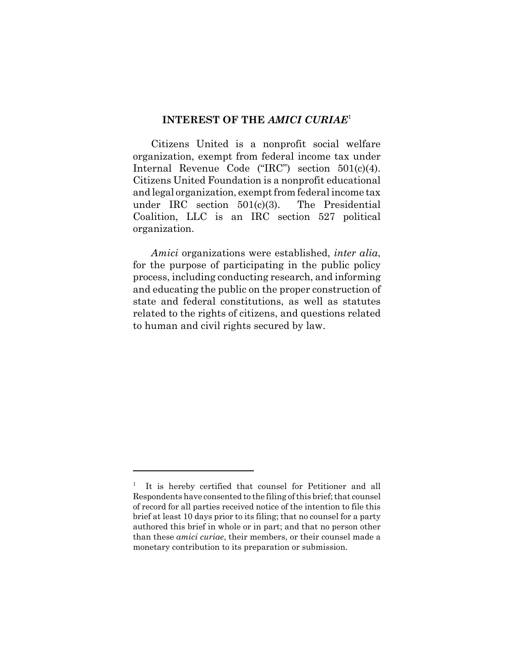### **INTEREST OF THE** *AMICI CURIAE*<sup>1</sup>

Citizens United is a nonprofit social welfare organization, exempt from federal income tax under Internal Revenue Code ("IRC") section 501(c)(4). Citizens United Foundation is a nonprofit educational and legal organization, exempt from federal income tax under IRC section 501(c)(3). The Presidential Coalition, LLC is an IRC section 527 political organization.

*Amici* organizations were established, *inter alia*, for the purpose of participating in the public policy process, including conducting research, and informing and educating the public on the proper construction of state and federal constitutions, as well as statutes related to the rights of citizens, and questions related to human and civil rights secured by law.

<sup>1</sup> It is hereby certified that counsel for Petitioner and all Respondents have consented to the filing of this brief; that counsel of record for all parties received notice of the intention to file this brief at least 10 days prior to its filing; that no counsel for a party authored this brief in whole or in part; and that no person other than these *amici curiae*, their members, or their counsel made a monetary contribution to its preparation or submission.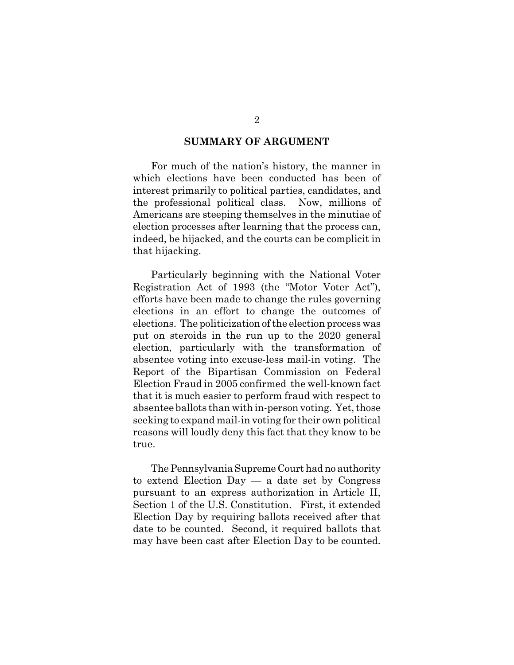#### **SUMMARY OF ARGUMENT**

For much of the nation's history, the manner in which elections have been conducted has been of interest primarily to political parties, candidates, and the professional political class. Now, millions of Americans are steeping themselves in the minutiae of election processes after learning that the process can, indeed, be hijacked, and the courts can be complicit in that hijacking.

Particularly beginning with the National Voter Registration Act of 1993 (the "Motor Voter Act"), efforts have been made to change the rules governing elections in an effort to change the outcomes of elections. The politicization of the election process was put on steroids in the run up to the 2020 general election, particularly with the transformation of absentee voting into excuse-less mail-in voting. The Report of the Bipartisan Commission on Federal Election Fraud in 2005 confirmed the well-known fact that it is much easier to perform fraud with respect to absentee ballots than with in-person voting. Yet, those seeking to expand mail-in voting for their own political reasons will loudly deny this fact that they know to be true.

The Pennsylvania Supreme Court had no authority to extend Election Day — a date set by Congress pursuant to an express authorization in Article II, Section 1 of the U.S. Constitution. First, it extended Election Day by requiring ballots received after that date to be counted. Second, it required ballots that may have been cast after Election Day to be counted.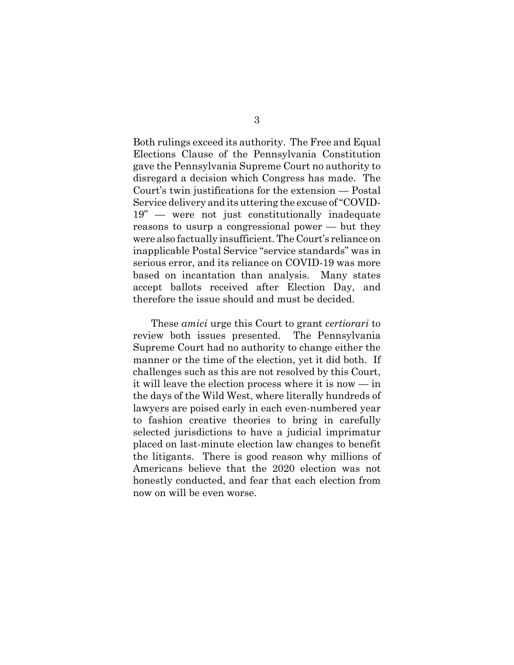Both rulings exceed its authority. The Free and Equal Elections Clause of the Pennsylvania Constitution gave the Pennsylvania Supreme Court no authority to disregard a decision which Congress has made. The Court's twin justifications for the extension — Postal Service delivery and its uttering the excuse of "COVID-19" — were not just constitutionally inadequate reasons to usurp a congressional power — but they were also factually insufficient. The Court's reliance on inapplicable Postal Service "service standards" was in serious error, and its reliance on COVID-19 was more based on incantation than analysis. Many states accept ballots received after Election Day, and therefore the issue should and must be decided.

These *amici* urge this Court to grant *certiorari* to review both issues presented. The Pennsylvania Supreme Court had no authority to change either the manner or the time of the election, yet it did both. If challenges such as this are not resolved by this Court, it will leave the election process where it is now — in the days of the Wild West, where literally hundreds of lawyers are poised early in each even-numbered year to fashion creative theories to bring in carefully selected jurisdictions to have a judicial imprimatur placed on last-minute election law changes to benefit the litigants. There is good reason why millions of Americans believe that the 2020 election was not honestly conducted, and fear that each election from now on will be even worse.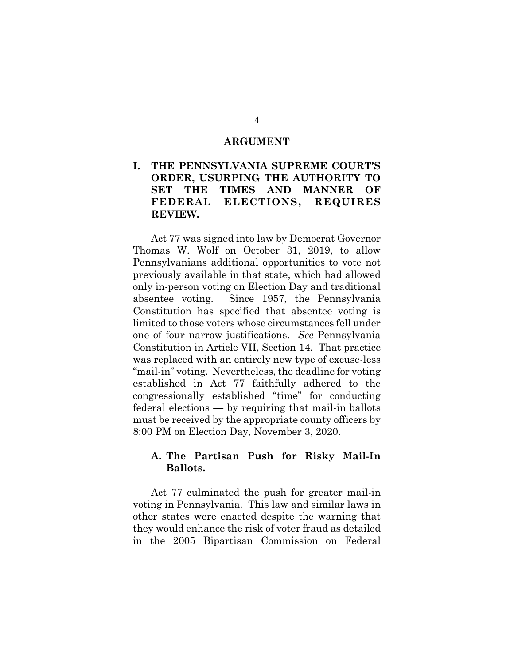#### **ARGUMENT**

## **I. THE PENNSYLVANIA SUPREME COURT'S ORDER, USURPING THE AUTHORITY TO SET THE TIMES AND MANNER OF FEDERAL ELECTIONS, REQUIRES REVIEW.**

Act 77 was signed into law by Democrat Governor Thomas W. Wolf on October 31, 2019, to allow Pennsylvanians additional opportunities to vote not previously available in that state, which had allowed only in-person voting on Election Day and traditional absentee voting. Since 1957, the Pennsylvania Constitution has specified that absentee voting is limited to those voters whose circumstances fell under one of four narrow justifications. *See* Pennsylvania Constitution in Article VII, Section 14. That practice was replaced with an entirely new type of excuse-less "mail-in" voting. Nevertheless, the deadline for voting established in Act 77 faithfully adhered to the congressionally established "time" for conducting federal elections — by requiring that mail-in ballots must be received by the appropriate county officers by 8:00 PM on Election Day, November 3, 2020.

## **A. The Partisan Push for Risky Mail-In Ballots.**

Act 77 culminated the push for greater mail-in voting in Pennsylvania. This law and similar laws in other states were enacted despite the warning that they would enhance the risk of voter fraud as detailed in the 2005 Bipartisan Commission on Federal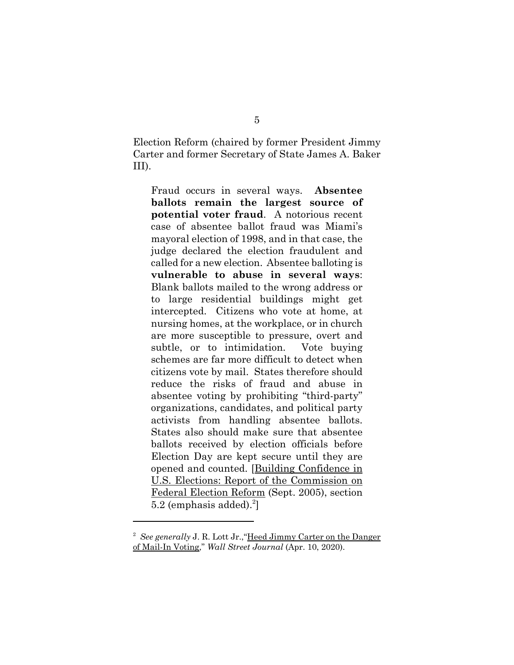Election Reform (chaired by former President Jimmy Carter and former Secretary of State James A. Baker III).

Fraud occurs in several ways. **Absentee ballots remain the largest source of potential voter fraud**. A notorious recent case of absentee ballot fraud was Miami's mayoral election of 1998, and in that case, the judge declared the election fraudulent and called for a new election. Absentee balloting is **vulnerable to abuse in several ways**: Blank ballots mailed to the wrong address or to large residential buildings might get intercepted. Citizens who vote at home, at nursing homes, at the workplace, or in church are more susceptible to pressure, overt and subtle, or to intimidation. Vote buying schemes are far more difficult to detect when citizens vote by mail. States therefore should reduce the risks of fraud and abuse in absentee voting by prohibiting "third-party" organizations, candidates, and political party activists from handling absentee ballots. States also should make sure that absentee ballots received by election officials before Election Day are kept secure until they are opened and counted. [Building Confidence in U.S. Elections: Report of the Commission on Federal Election Reform (Sept. 2005), section  $5.2$  (emphasis added).<sup>2</sup>]

<sup>&</sup>lt;sup>2</sup> See generally J. R. Lott Jr., "Heed Jimmy Carter on the Danger of Mail-In Voting," *Wall Street Journal* (Apr. 10, 2020).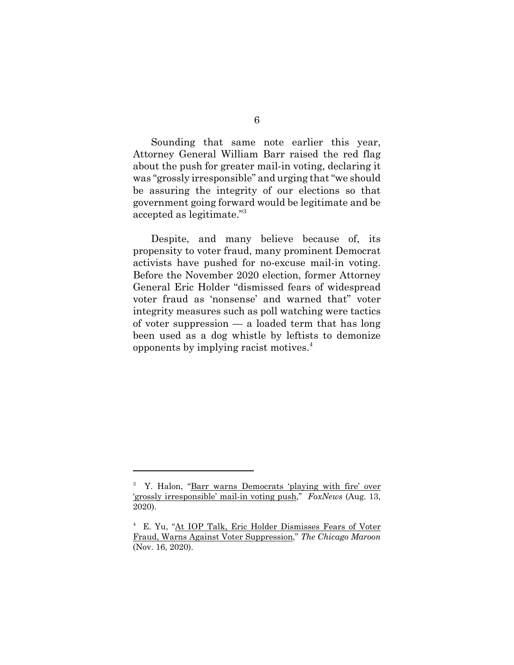Sounding that same note earlier this year, Attorney General William Barr raised the red flag about the push for greater mail-in voting, declaring it was "grossly irresponsible" and urging that "we should be assuring the integrity of our elections so that government going forward would be legitimate and be accepted as legitimate."3

Despite, and many believe because of, its propensity to voter fraud, many prominent Democrat activists have pushed for no-excuse mail-in voting. Before the November 2020 election, former Attorney General Eric Holder "dismissed fears of widespread voter fraud as 'nonsense' and warned that" voter integrity measures such as poll watching were tactics of voter suppression — a loaded term that has long been used as a dog whistle by leftists to demonize opponents by implying racist motives.4

<sup>&</sup>lt;sup>3</sup> Y. Halon, "Barr warns Democrats 'playing with fire' over 'grossly irresponsible' mail-in voting push," *FoxNews* (Aug. 13, 2020).

<sup>4</sup> E. Yu, "At IOP Talk, Eric Holder Dismisses Fears of Voter Fraud, Warns Against Voter Suppression," *The Chicago Maroon* (Nov. 16, 2020).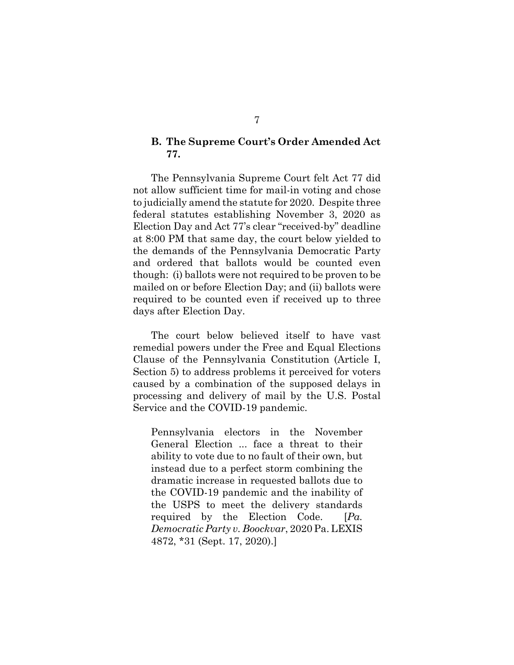### **B. The Supreme Court's Order Amended Act 77.**

The Pennsylvania Supreme Court felt Act 77 did not allow sufficient time for mail-in voting and chose to judicially amend the statute for 2020. Despite three federal statutes establishing November 3, 2020 as Election Day and Act 77's clear "received-by" deadline at 8:00 PM that same day, the court below yielded to the demands of the Pennsylvania Democratic Party and ordered that ballots would be counted even though: (i) ballots were not required to be proven to be mailed on or before Election Day; and (ii) ballots were required to be counted even if received up to three days after Election Day.

The court below believed itself to have vast remedial powers under the Free and Equal Elections Clause of the Pennsylvania Constitution (Article I, Section 5) to address problems it perceived for voters caused by a combination of the supposed delays in processing and delivery of mail by the U.S. Postal Service and the COVID-19 pandemic.

Pennsylvania electors in the November General Election ... face a threat to their ability to vote due to no fault of their own, but instead due to a perfect storm combining the dramatic increase in requested ballots due to the COVID-19 pandemic and the inability of the USPS to meet the delivery standards required by the Election Code. [*Pa. Democratic Party v. Boockvar*, 2020 Pa. LEXIS 4872, \*31 (Sept. 17, 2020).]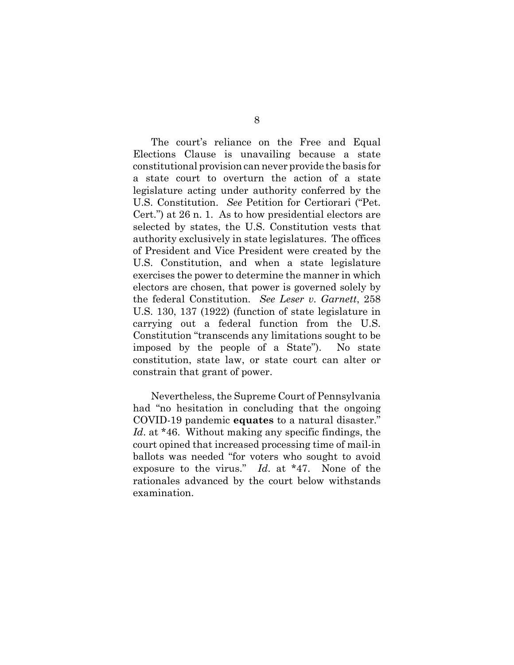The court's reliance on the Free and Equal Elections Clause is unavailing because a state constitutional provision can never provide the basis for a state court to overturn the action of a state legislature acting under authority conferred by the U.S. Constitution. *See* Petition for Certiorari ("Pet. Cert.") at 26 n. 1. As to how presidential electors are selected by states, the U.S. Constitution vests that authority exclusively in state legislatures. The offices of President and Vice President were created by the U.S. Constitution, and when a state legislature exercises the power to determine the manner in which electors are chosen, that power is governed solely by the federal Constitution. *See Leser v. Garnett*, 258 U.S. 130, 137 (1922) (function of state legislature in carrying out a federal function from the U.S. Constitution "transcends any limitations sought to be imposed by the people of a State"). No state constitution, state law, or state court can alter or constrain that grant of power.

Nevertheless, the Supreme Court of Pennsylvania had "no hesitation in concluding that the ongoing COVID-19 pandemic **equates** to a natural disaster." *Id*. at \*46. Without making any specific findings, the court opined that increased processing time of mail-in ballots was needed "for voters who sought to avoid exposure to the virus." *Id*. at \*47. None of the rationales advanced by the court below withstands examination.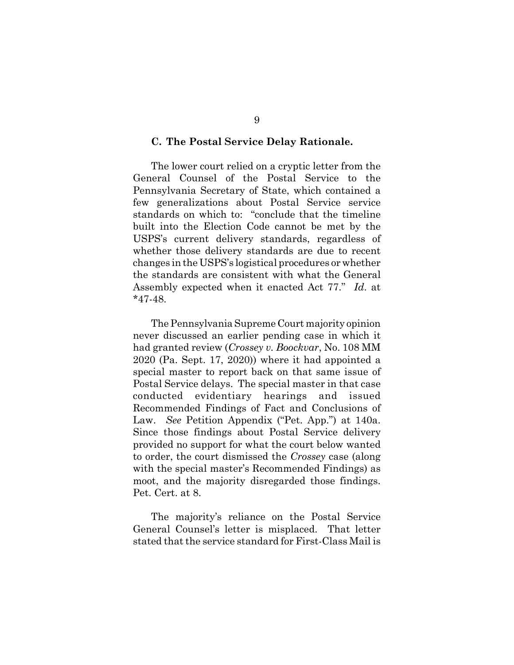#### **C. The Postal Service Delay Rationale.**

The lower court relied on a cryptic letter from the General Counsel of the Postal Service to the Pennsylvania Secretary of State, which contained a few generalizations about Postal Service service standards on which to: "conclude that the timeline built into the Election Code cannot be met by the USPS's current delivery standards, regardless of whether those delivery standards are due to recent changes in the USPS's logistical procedures or whether the standards are consistent with what the General Assembly expected when it enacted Act 77." *Id*. at \*47-48.

The Pennsylvania Supreme Court majority opinion never discussed an earlier pending case in which it had granted review (*Crossey v. Boockvar*, No. 108 MM 2020 (Pa. Sept. 17, 2020)) where it had appointed a special master to report back on that same issue of Postal Service delays. The special master in that case conducted evidentiary hearings and issued Recommended Findings of Fact and Conclusions of Law. *See* Petition Appendix ("Pet. App.") at 140a. Since those findings about Postal Service delivery provided no support for what the court below wanted to order, the court dismissed the *Crossey* case (along with the special master's Recommended Findings) as moot, and the majority disregarded those findings. Pet. Cert. at 8.

The majority's reliance on the Postal Service General Counsel's letter is misplaced. That letter stated that the service standard for First-Class Mail is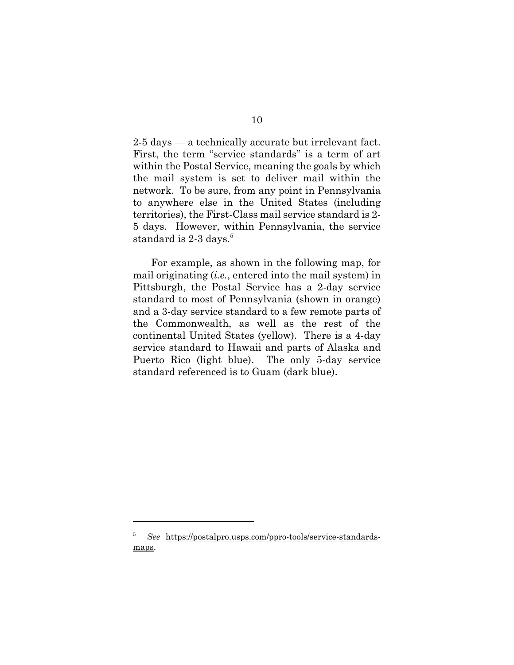2-5 days — a technically accurate but irrelevant fact. First, the term "service standards" is a term of art within the Postal Service, meaning the goals by which the mail system is set to deliver mail within the network. To be sure, from any point in Pennsylvania to anywhere else in the United States (including territories), the First-Class mail service standard is 2- 5 days. However, within Pennsylvania, the service standard is 2-3 days.<sup>5</sup>

For example, as shown in the following map, for mail originating (*i.e.*, entered into the mail system) in Pittsburgh, the Postal Service has a 2-day service standard to most of Pennsylvania (shown in orange) and a 3-day service standard to a few remote parts of the Commonwealth, as well as the rest of the continental United States (yellow). There is a 4-day service standard to Hawaii and parts of Alaska and Puerto Rico (light blue). The only 5-day service standard referenced is to Guam (dark blue).

<sup>5</sup> *See* https://postalpro.usps.com/ppro-tools/service-standardsmaps.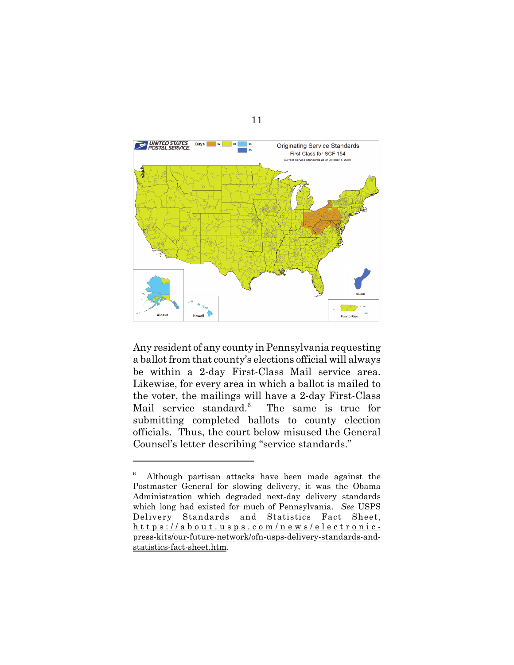

Any resident of any county in Pennsylvania requesting a ballot from that county's elections official will always be within a 2-day First-Class Mail service area. Likewise, for every area in which a ballot is mailed to the voter, the mailings will have a 2-day First-Class Mail service standard.<sup>6</sup> The same is true for submitting completed ballots to county election officials. Thus, the court below misused the General Counsel's letter describing "service standards."

<sup>6</sup> Although partisan attacks have been made against the Postmaster General for slowing delivery, it was the Obama Administration which degraded next-day delivery standards which long had existed for much of Pennsylvania. *See* USPS Delivery Standards and Statistics Fact Sheet, https://about.usps.com/news/electronicpress-kits/our-future-network/ofn-usps-delivery-standards-andstatistics-fact-sheet.htm.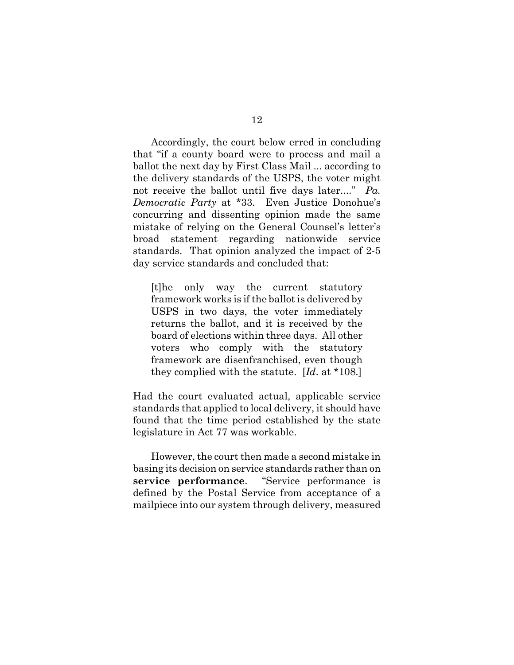Accordingly, the court below erred in concluding that "if a county board were to process and mail a ballot the next day by First Class Mail ... according to the delivery standards of the USPS, the voter might not receive the ballot until five days later...." *Pa. Democratic Party* at \*33. Even Justice Donohue's concurring and dissenting opinion made the same mistake of relying on the General Counsel's letter's broad statement regarding nationwide service standards. That opinion analyzed the impact of 2-5 day service standards and concluded that:

[t]he only way the current statutory framework works is if the ballot is delivered by USPS in two days, the voter immediately returns the ballot, and it is received by the board of elections within three days. All other voters who comply with the statutory framework are disenfranchised, even though they complied with the statute. [*Id*. at \*108.]

Had the court evaluated actual, applicable service standards that applied to local delivery, it should have found that the time period established by the state legislature in Act 77 was workable.

However, the court then made a second mistake in basing its decision on service standards rather than on **service performance**. "Service performance is defined by the Postal Service from acceptance of a mailpiece into our system through delivery, measured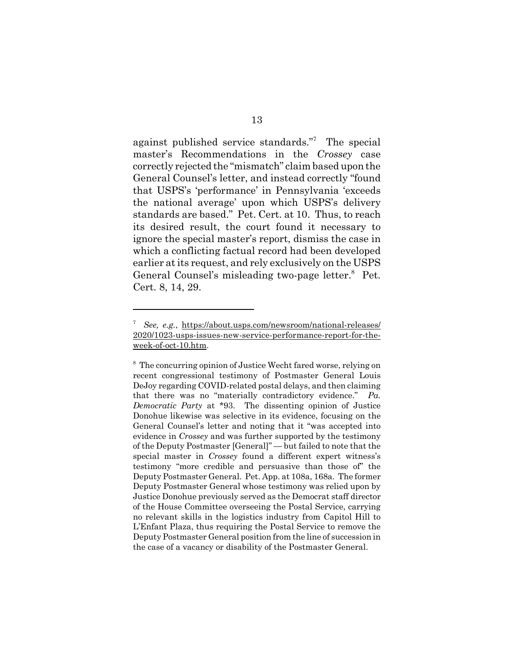against published service standards." The special master's Recommendations in the *Crossey* case correctly rejected the "mismatch" claim based upon the General Counsel's letter, and instead correctly "found that USPS's 'performance' in Pennsylvania 'exceeds the national average' upon which USPS's delivery standards are based." Pet. Cert. at 10. Thus, to reach its desired result, the court found it necessary to ignore the special master's report, dismiss the case in which a conflicting factual record had been developed earlier at its request, and rely exclusively on the USPS General Counsel's misleading two-page letter.<sup>8</sup> Pet. Cert. 8, 14, 29.

<sup>7</sup> *See, e.g.*, https://about.usps.com/newsroom/national-releases/ 2020/1023-usps-issues-new-service-performance-report-for-theweek-of-oct-10.htm.

<sup>&</sup>lt;sup>8</sup> The concurring opinion of Justice Wecht fared worse, relying on recent congressional testimony of Postmaster General Louis DeJoy regarding COVID-related postal delays, and then claiming that there was no "materially contradictory evidence." *Pa. Democratic Party* at \*93. The dissenting opinion of Justice Donohue likewise was selective in its evidence, focusing on the General Counsel's letter and noting that it "was accepted into evidence in *Crossey* and was further supported by the testimony of the Deputy Postmaster [General]" — but failed to note that the special master in *Crossey* found a different expert witness's testimony "more credible and persuasive than those of" the Deputy Postmaster General. Pet. App. at 108a, 168a. The former Deputy Postmaster General whose testimony was relied upon by Justice Donohue previously served as the Democrat staff director of the House Committee overseeing the Postal Service, carrying no relevant skills in the logistics industry from Capitol Hill to L'Enfant Plaza, thus requiring the Postal Service to remove the Deputy Postmaster General position from the line of succession in the case of a vacancy or disability of the Postmaster General.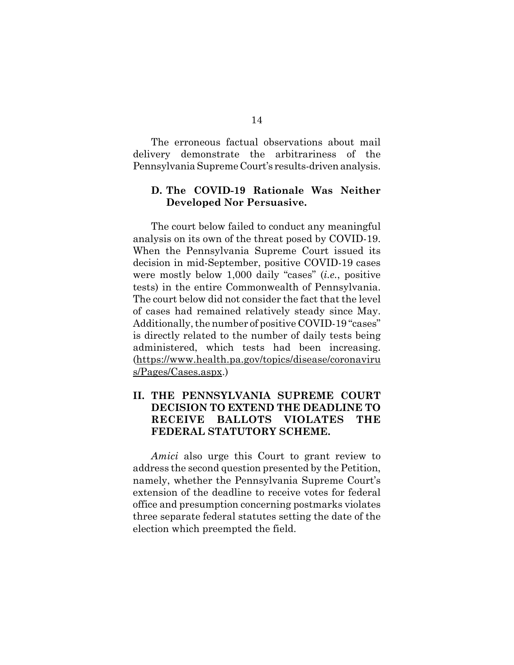The erroneous factual observations about mail delivery demonstrate the arbitrariness of the Pennsylvania Supreme Court's results-driven analysis.

## **D. The COVID-19 Rationale Was Neither Developed Nor Persuasive.**

The court below failed to conduct any meaningful analysis on its own of the threat posed by COVID-19. When the Pennsylvania Supreme Court issued its decision in mid-September, positive COVID-19 cases were mostly below 1,000 daily "cases" (*i.e.*, positive tests) in the entire Commonwealth of Pennsylvania. The court below did not consider the fact that the level of cases had remained relatively steady since May. Additionally, the number of positive COVID-19 "cases" is directly related to the number of daily tests being administered, which tests had been increasing. (https://www.health.pa.gov/topics/disease/coronaviru s/Pages/Cases.aspx.)

## **II. THE PENNSYLVANIA SUPREME COURT DECISION TO EXTEND THE DEADLINE TO RECEIVE BALLOTS VIOLATES THE FEDERAL STATUTORY SCHEME.**

*Amici* also urge this Court to grant review to address the second question presented by the Petition, namely, whether the Pennsylvania Supreme Court's extension of the deadline to receive votes for federal office and presumption concerning postmarks violates three separate federal statutes setting the date of the election which preempted the field.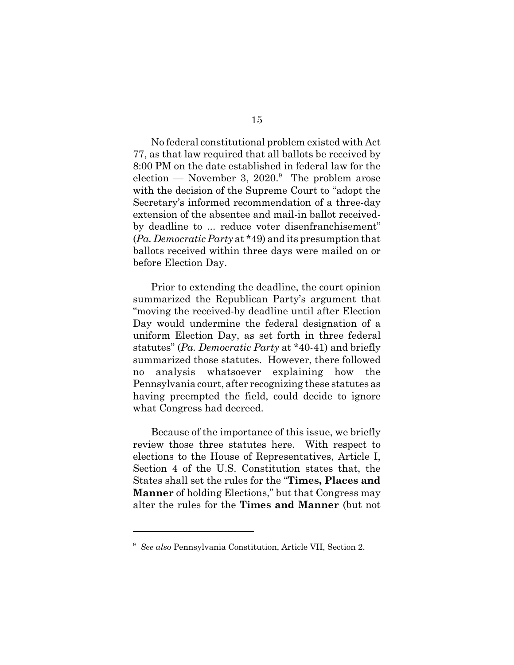No federal constitutional problem existed with Act 77, as that law required that all ballots be received by 8:00 PM on the date established in federal law for the election — November 3,  $2020$ .<sup>9</sup> The problem arose with the decision of the Supreme Court to "adopt the Secretary's informed recommendation of a three-day extension of the absentee and mail-in ballot receivedby deadline to ... reduce voter disenfranchisement" (*Pa. Democratic Party* at \*49) and its presumption that ballots received within three days were mailed on or before Election Day.

Prior to extending the deadline, the court opinion summarized the Republican Party's argument that "moving the received-by deadline until after Election Day would undermine the federal designation of a uniform Election Day, as set forth in three federal statutes" (*Pa. Democratic Party* at \*40-41) and briefly summarized those statutes. However, there followed no analysis whatsoever explaining how the Pennsylvania court, after recognizing these statutes as having preempted the field, could decide to ignore what Congress had decreed.

Because of the importance of this issue, we briefly review those three statutes here. With respect to elections to the House of Representatives, Article I, Section 4 of the U.S. Constitution states that, the States shall set the rules for the "**Times, Places and Manner** of holding Elections," but that Congress may alter the rules for the **Times and Manner** (but not

<sup>9</sup> *See also* Pennsylvania Constitution, Article VII, Section 2.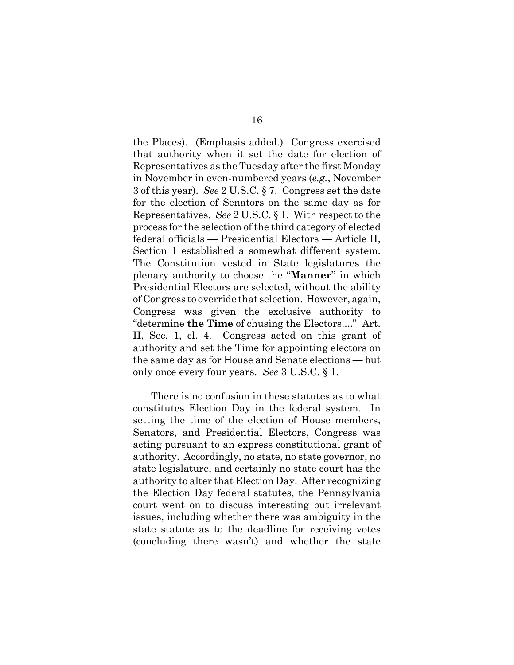the Places). (Emphasis added.) Congress exercised that authority when it set the date for election of Representatives as the Tuesday after the first Monday in November in even-numbered years (*e.g.*, November 3 of this year). *See* 2 U.S.C. § 7. Congress set the date for the election of Senators on the same day as for Representatives. *See* 2 U.S.C. § 1. With respect to the process for the selection of the third category of elected federal officials — Presidential Electors — Article II, Section 1 established a somewhat different system. The Constitution vested in State legislatures the plenary authority to choose the "**Manner**" in which Presidential Electors are selected, without the ability of Congress to override that selection. However, again, Congress was given the exclusive authority to "determine **the Time** of chusing the Electors...." Art. II, Sec. 1, cl. 4. Congress acted on this grant of authority and set the Time for appointing electors on the same day as for House and Senate elections — but only once every four years. *See* 3 U.S.C. § 1.

There is no confusion in these statutes as to what constitutes Election Day in the federal system. In setting the time of the election of House members, Senators, and Presidential Electors, Congress was acting pursuant to an express constitutional grant of authority. Accordingly, no state, no state governor, no state legislature, and certainly no state court has the authority to alter that Election Day. After recognizing the Election Day federal statutes, the Pennsylvania court went on to discuss interesting but irrelevant issues, including whether there was ambiguity in the state statute as to the deadline for receiving votes (concluding there wasn't) and whether the state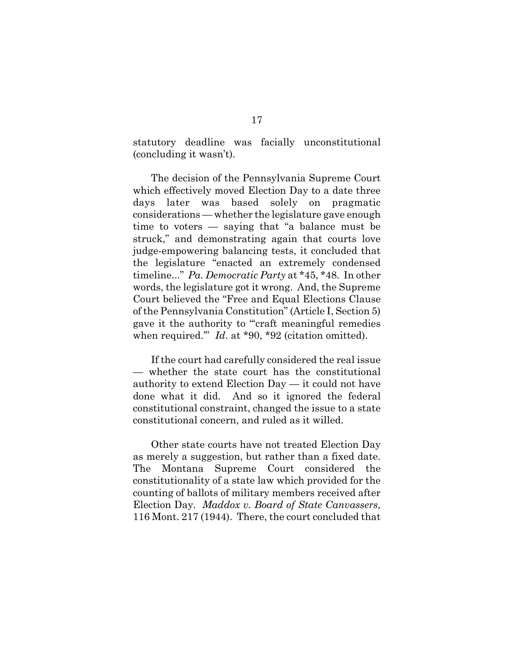statutory deadline was facially unconstitutional (concluding it wasn't).

The decision of the Pennsylvania Supreme Court which effectively moved Election Day to a date three days later was based solely on pragmatic considerations — whether the legislature gave enough time to voters — saying that "a balance must be struck," and demonstrating again that courts love judge-empowering balancing tests, it concluded that the legislature "enacted an extremely condensed timeline..." *Pa. Democratic Party* at \*45, \*48. In other words, the legislature got it wrong. And, the Supreme Court believed the "Free and Equal Elections Clause of the Pennsylvania Constitution" (Article I, Section 5) gave it the authority to "craft meaningful remedies when required." *Id.* at \*90, \*92 (citation omitted).

If the court had carefully considered the real issue — whether the state court has the constitutional authority to extend Election Day — it could not have done what it did. And so it ignored the federal constitutional constraint, changed the issue to a state constitutional concern, and ruled as it willed.

Other state courts have not treated Election Day as merely a suggestion, but rather than a fixed date. The Montana Supreme Court considered the constitutionality of a state law which provided for the counting of ballots of military members received after Election Day. *Maddox v. Board of State Canvassers*, 116 Mont. 217 (1944). There, the court concluded that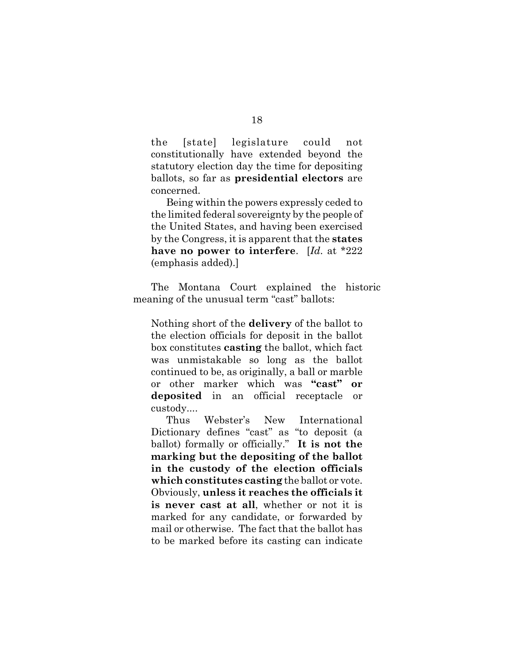the [state] legislature could not constitutionally have extended beyond the statutory election day the time for depositing ballots, so far as **presidential electors** are concerned.

Being within the powers expressly ceded to the limited federal sovereignty by the people of the United States, and having been exercised by the Congress, it is apparent that the **states have no power to interfere**. [*Id*. at \*222 (emphasis added).]

The Montana Court explained the historic meaning of the unusual term "cast" ballots:

Nothing short of the **delivery** of the ballot to the election officials for deposit in the ballot box constitutes **casting** the ballot, which fact was unmistakable so long as the ballot continued to be, as originally, a ball or marble or other marker which was **"cast" or deposited** in an official receptacle or custody....

Thus Webster's New International Dictionary defines "cast" as "to deposit (a ballot) formally or officially." **It is not the marking but the depositing of the ballot in the custody of the election officials which constitutes casting** the ballot or vote. Obviously, **unless it reaches the officials it is never cast at all**, whether or not it is marked for any candidate, or forwarded by mail or otherwise. The fact that the ballot has to be marked before its casting can indicate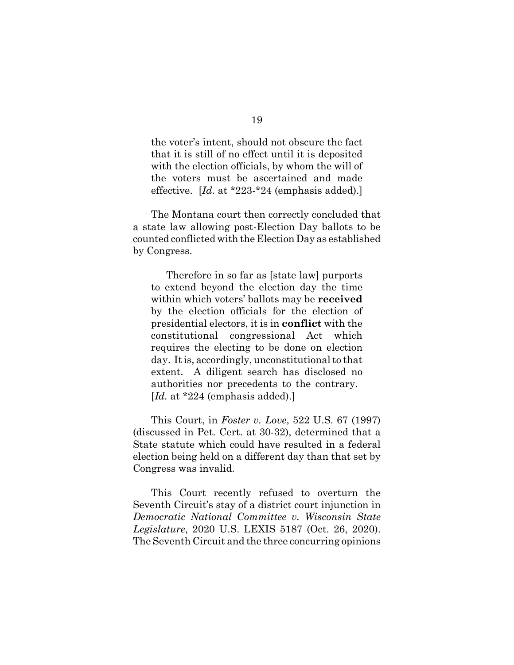the voter's intent, should not obscure the fact that it is still of no effect until it is deposited with the election officials, by whom the will of the voters must be ascertained and made effective. [*Id.* at \*223-\*24 (emphasis added).]

The Montana court then correctly concluded that a state law allowing post-Election Day ballots to be counted conflicted with the Election Day as established by Congress.

Therefore in so far as [state law] purports to extend beyond the election day the time within which voters' ballots may be **received** by the election officials for the election of presidential electors, it is in **conflict** with the constitutional congressional Act which requires the electing to be done on election day. It is, accordingly, unconstitutional to that extent. A diligent search has disclosed no authorities nor precedents to the contrary. [*Id.* at \*224 (emphasis added).]

This Court, in *Foster v. Love*, 522 U.S. 67 (1997) (discussed in Pet. Cert. at 30-32), determined that a State statute which could have resulted in a federal election being held on a different day than that set by Congress was invalid.

This Court recently refused to overturn the Seventh Circuit's stay of a district court injunction in *Democratic National Committee v. Wisconsin State Legislature*, 2020 U.S. LEXIS 5187 (Oct. 26, 2020). The Seventh Circuit and the three concurring opinions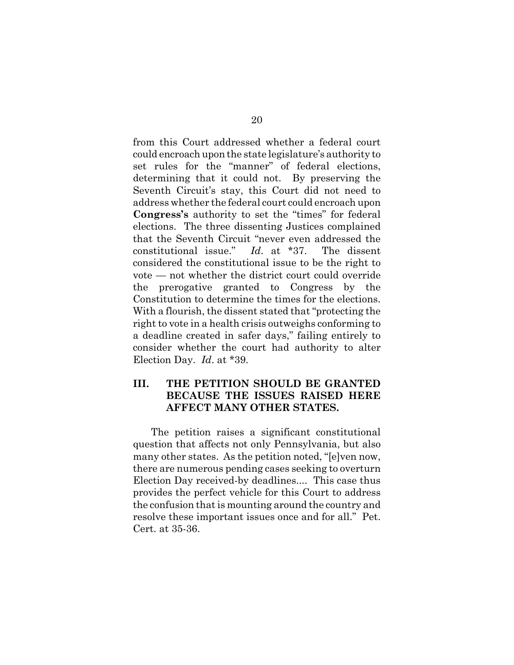from this Court addressed whether a federal court could encroach upon the state legislature's authority to set rules for the "manner" of federal elections, determining that it could not. By preserving the Seventh Circuit's stay, this Court did not need to address whether the federal court could encroach upon **Congress's** authority to set the "times" for federal elections. The three dissenting Justices complained that the Seventh Circuit "never even addressed the constitutional issue." *Id*. at \*37. The dissent considered the constitutional issue to be the right to vote — not whether the district court could override the prerogative granted to Congress by the Constitution to determine the times for the elections. With a flourish, the dissent stated that "protecting the right to vote in a health crisis outweighs conforming to a deadline created in safer days," failing entirely to consider whether the court had authority to alter Election Day. *Id*. at \*39.

## **III. THE PETITION SHOULD BE GRANTED BECAUSE THE ISSUES RAISED HERE AFFECT MANY OTHER STATES.**

The petition raises a significant constitutional question that affects not only Pennsylvania, but also many other states. As the petition noted, "[e]ven now, there are numerous pending cases seeking to overturn Election Day received-by deadlines.... This case thus provides the perfect vehicle for this Court to address the confusion that is mounting around the country and resolve these important issues once and for all." Pet. Cert. at 35-36.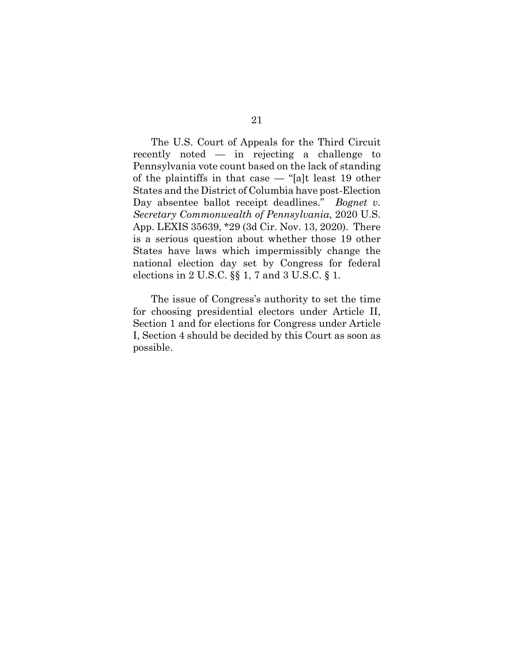The U.S. Court of Appeals for the Third Circuit recently noted — in rejecting a challenge to Pennsylvania vote count based on the lack of standing of the plaintiffs in that case — "[a]t least 19 other States and the District of Columbia have post-Election Day absentee ballot receipt deadlines." *Bognet v. Secretary Commonwealth of Pennsylvania*, 2020 U.S. App. LEXIS 35639, \*29 (3d Cir. Nov. 13, 2020). There is a serious question about whether those 19 other States have laws which impermissibly change the national election day set by Congress for federal elections in 2 U.S.C.  $\S$  1, 7 and 3 U.S.C.  $\S$  1.

The issue of Congress's authority to set the time for choosing presidential electors under Article II, Section 1 and for elections for Congress under Article I, Section 4 should be decided by this Court as soon as possible.